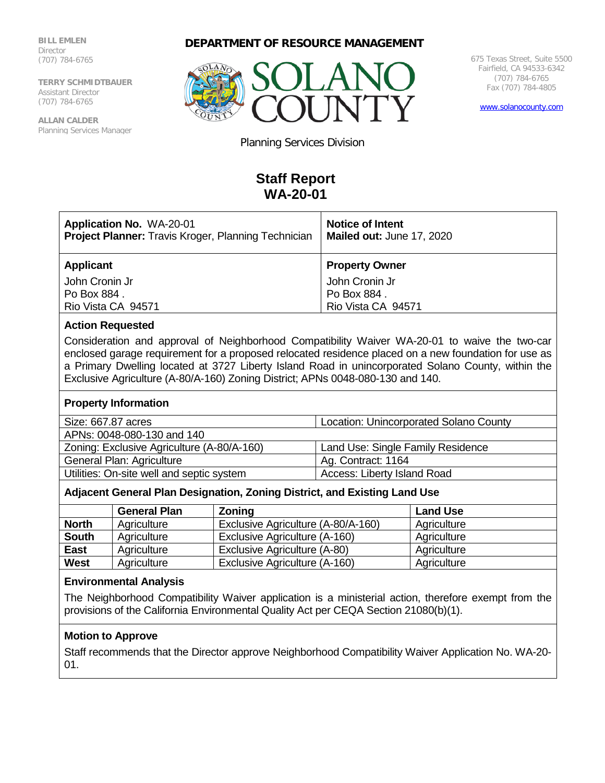**BILL EMLEN** Director (707) 784-6765

**TERRY SCHMIDTBAUER** Assistant Director (707) 784-6765

**ALLAN CALDER** Planning Services Manager **DEPARTMENT OF RESOURCE MANAGEMENT**



675 Texas Street, Suite 5500 Fairfield, CA 94533-6342 (707) 784-6765 Fax (707) 784-4805

[www.solanocounty.com](http://www.solanocounty.com/)

Planning Services Division

# **Staff Report WA-20-01**

| <b>Application No. WA-20-01</b><br><b>Project Planner:</b> Travis Kroger, Planning Technician | <b>Notice of Intent</b><br>Mailed out: June 17, 2020 |
|-----------------------------------------------------------------------------------------------|------------------------------------------------------|
| <b>Applicant</b>                                                                              | <b>Property Owner</b>                                |
| John Cronin Jr                                                                                | John Cronin Jr                                       |
| Po Box 884.                                                                                   | Po Box 884.                                          |
| Rio Vista CA 94571                                                                            | Rio Vista CA 94571                                   |

# **Action Requested**

Consideration and approval of Neighborhood Compatibility Waiver WA-20-01 to waive the two-car enclosed garage requirement for a proposed relocated residence placed on a new foundation for use as a Primary Dwelling located at 3727 Liberty Island Road in unincorporated Solano County, within the Exclusive Agriculture (A-80/A-160) Zoning District; APNs 0048-080-130 and 140.

#### **Property Information**

| Size: 667.87 acres                         | <b>Location: Unincorporated Solano County</b> |  |
|--------------------------------------------|-----------------------------------------------|--|
| APNs: 0048-080-130 and 140                 |                                               |  |
| Zoning: Exclusive Agriculture (A-80/A-160) | Land Use: Single Family Residence             |  |
| General Plan: Agriculture                  | Ag. Contract: 1164                            |  |
| Utilities: On-site well and septic system  | Access: Liberty Island Road                   |  |
|                                            |                                               |  |

# **Adjacent General Plan Designation, Zoning District, and Existing Land Use**

|              | <b>General Plan</b> | Zoning                             | <b>Land Use</b> |
|--------------|---------------------|------------------------------------|-----------------|
| <b>North</b> | Agriculture         | Exclusive Agriculture (A-80/A-160) | Agriculture     |
| <b>South</b> | Agriculture         | Exclusive Agriculture (A-160)      | Agriculture     |
| East         | Agriculture         | Exclusive Agriculture (A-80)       | Agriculture     |
| <b>West</b>  | Agriculture         | Exclusive Agriculture (A-160)      | Agriculture     |

#### **Environmental Analysis**

The Neighborhood Compatibility Waiver application is a ministerial action, therefore exempt from the provisions of the California Environmental Quality Act per CEQA Section 21080(b)(1).

## **Motion to Approve**

Staff recommends that the Director approve Neighborhood Compatibility Waiver Application No. WA-20- 01.